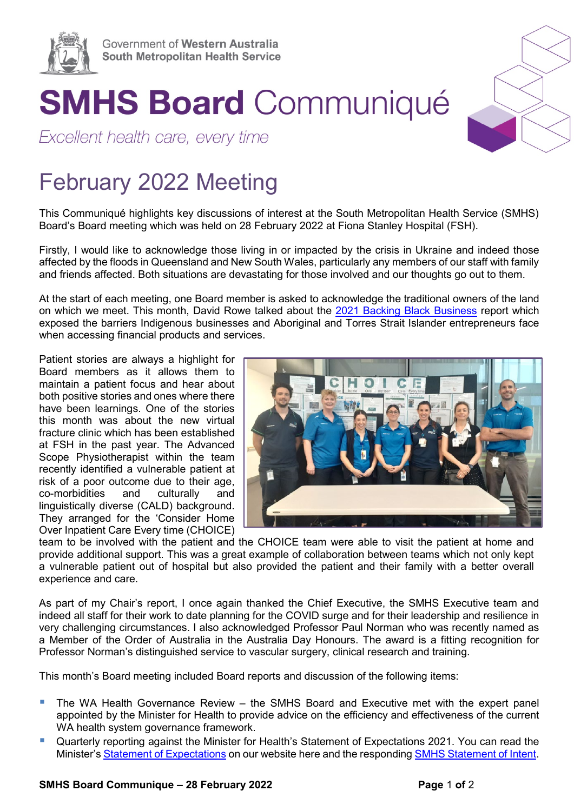

## **SMHS Board Communiqué**

Excellent health care, every time

## February 2022 Meeting

This Communiqué highlights key discussions of interest at the South Metropolitan Health Service (SMHS) Board's Board meeting which was held on 28 February 2022 at Fiona Stanley Hospital (FSH).

Firstly, I would like to acknowledge those living in or impacted by the crisis in Ukraine and indeed those affected by the floods in Queensland and New South Wales, particularly any members of our staff with family and friends affected. Both situations are devastating for those involved and our thoughts go out to them.

At the start of each meeting, one Board member is asked to acknowledge the traditional owners of the land on which we meet. This month, David Rowe talked about the [2021 Backing Black Business](https://www.minderoo.org/generation-one/reports/backing-black-business/) report which exposed the barriers Indigenous businesses and Aboriginal and Torres Strait Islander entrepreneurs face when accessing financial products and services.

Patient stories are always a highlight for Board members as it allows them to maintain a patient focus and hear about both positive stories and ones where there have been learnings. One of the stories this month was about the new virtual fracture clinic which has been established at FSH in the past year. The Advanced Scope Physiotherapist within the team recently identified a vulnerable patient at risk of a poor outcome due to their age, co-morbidities and culturally and linguistically diverse (CALD) background. They arranged for the 'Consider Home Over Inpatient Care Every time (CHOICE)



team to be involved with the patient and the CHOICE team were able to visit the patient at home and provide additional support. This was a great example of collaboration between teams which not only kept a vulnerable patient out of hospital but also provided the patient and their family with a better overall experience and care.

As part of my Chair's report, I once again thanked the Chief Executive, the SMHS Executive team and indeed all staff for their work to date planning for the COVID surge and for their leadership and resilience in very challenging circumstances. I also acknowledged Professor Paul Norman who was recently named as a Member of the Order of Australia in the Australia Day Honours. The award is a fitting recognition for Professor Norman's distinguished service to vascular surgery, clinical research and training.

This month's Board meeting included Board reports and discussion of the following items:

- The WA Health Governance Review the SMHS Board and Executive met with the expert panel appointed by the Minister for Health to provide advice on the efficiency and effectiveness of the current WA health system governance framework.
- **Quarterly reporting against the Minister for Health's Statement of Expectations 2021. You can read the** Minister's [Statement of](https://smhs.health.wa.gov.au/%7E/media/HSPs/SMHS/Corporate/Files/Board/Ministerial-Statement-of-Expectation.pdf) Expectations on our website here and the responding [SMHS Statement of Intent.](https://smhs.health.wa.gov.au/%7E/media/HSPs/SMHS/Corporate/Files/Board/SMHS-Board-Letter-of-Intent.pdf)

## **SMHS Board Communique – 28 February 2022 Page** 1 **of** 2